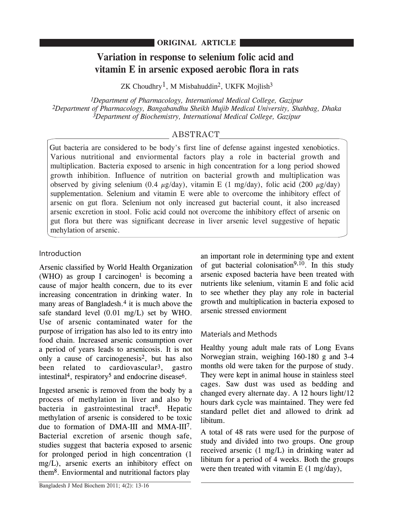### **ORIGINAL ARTICLE**

# **Variation in response to selenium folic acid and vitamin E in arsenic exposed aerobic flora in rats**

ZK Choudhry<sup>1</sup>, M Misbahuddin<sup>2</sup>, UKFK Mojlish<sup>3</sup>

*1Department of Pharmacology, International Medical College, Gazipur 2Department of Pharmacology, Bangabandhu Sheikh Mujib Medical University, Shahbag, Dhaka 3Department of Biochemistry, International Medical College, Gazipur*

## ABSTRACT

Gut bacteria are considered to be body's first line of defense against ingested xenobiotics. Various nutritional and enviormental factors play a role in bacterial growth and multiplication. Bacteria exposed to arsenic in high concentration for a long period showed growth inhibition. Influence of nutrition on bacterial growth and multiplication was observed by giving selenium (0.4  $\mu$ g/day), vitamin E (1 mg/day), folic acid (200  $\mu$ g/day) supplementation. Selenium and vitamin E were able to overcome the inhibitory effect of arsenic on gut flora. Selenium not only increased gut bacterial count, it also increased arsenic excretion in stool. Folic acid could not overcome the inhibitory effect of arsenic on gut flora but there was significant decrease in liver arsenic level suggestive of hepatic mehylation of arsenic.

### Introduction

Arsenic classified by World Health Organization (WHO) as group I carcinogen<sup>1</sup> is becoming a cause of major health concern, due to its ever increasing concentration in drinking water. In many areas of Bangladesh.<sup>4</sup> it is much above the safe standard level (0.01 mg/L) set by WHO. Use of arsenic contaminated water for the purpose of irrigation has also led to its entry into food chain. Increased arsenic consumption over a period of years leads to arsenicosis. It is not only a cause of carcinogenesis2, but has also been related to cardiovascular<sup>3</sup>, gastro intestinal<sup>4</sup>, respiratory<sup>5</sup> and endocrine disease<sup>6</sup>.

Ingested arsenic is removed from the body by a process of methylation in liver and also by bacteria in gastrointestinal tract<sup>8</sup>. Hepatic methylation of arsenic is considered to be toxic due to formation of DMA-III and MMA-III7. Bacterial excretion of arsenic though safe, studies suggest that bacteria exposed to arsenic for prolonged period in high concentration (1 mg/L), arsenic exerts an inhibitory effect on them8. Enviormental and nutritional factors play

an important role in determining type and extent of gut bacterial colonisation<sup>9,10</sup>. In this study arsenic exposed bacteria have been treated with nutrients like selenium, vitamin E and folic acid to see whether they play any role in bacterial growth and multiplication in bacteria exposed to arsenic stressed enviorment

# Materials and Methods

Healthy young adult male rats of Long Evans Norwegian strain, weighing 160-180 g and 3-4 months old were taken for the purpose of study. They were kept in animal house in stainless steel cages. Saw dust was used as bedding and changed every alternate day. A 12 hours light/12 hours dark cycle was maintained. They were fed standard pellet diet and allowed to drink ad libitum.

A total of 48 rats were used for the purpose of study and divided into two groups. One group received arsenic (1 mg/L) in drinking water ad libitum for a period of 4 weeks. Both the groups were then treated with vitamin E (1 mg/day),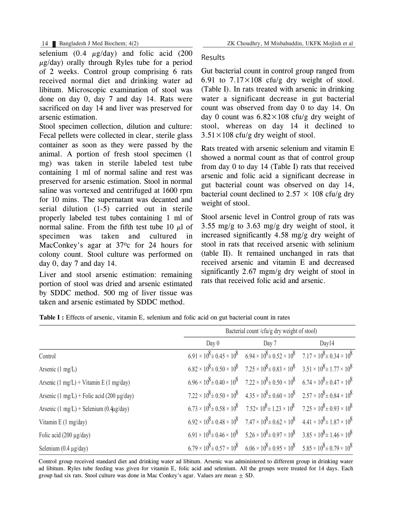14 Bangladesh J Med Biochem; 4(2) ZK Choudhry, M Misbahuddin, UKFK Mojlish et al

selenium  $(0.4 \mu g/day)$  and folic acid  $(200$  $\mu$ g/day) orally through Ryles tube for a period of 2 weeks. Control group comprising 6 rats received normal diet and drinking water ad libitum. Microscopic examination of stool was done on day 0, day 7 and day 14. Rats were sacrificed on day 14 and liver was preserved for arsenic estimation.

Stool specimen collection, dilution and culture: Fecal pellets were collected in clear, sterile glass container as soon as they were passed by the animal. A portion of fresh stool specimen (1 mg) was taken in sterile labeled test tube containing 1 ml of normal saline and rest was preserved for arsenic estimation. Stool in normal saline was vortexed and centrifuged at 1600 rpm for 10 mins. The supernatant was decanted and serial dilution (1-5) carried out in sterile properly labeled test tubes containing 1 ml of normal saline. From the fifth test tube 10  $\mu$ l of specimen was taken and cultured in MacConkey's agar at 37°c for 24 hours for colony count. Stool culture was performed on day 0, day 7 and day 14.

Liver and stool arsenic estimation: remaining portion of stool was dried and arsenic estimated by SDDC method. 500 mg of liver tissue was taken and arsenic estimated by SDDC method.

Results

Gut bacterial count in control group ranged from 6.91 to  $7.17 \times 108$  cfu/g dry weight of stool. (Table I). In rats treated with arsenic in drinking water a significant decrease in gut bacterial count was observed from day 0 to day 14. On day 0 count was  $6.82 \times 108$  cfu/g dry weight of stool, whereas on day 14 it declined to  $3.51 \times 108$  cfu/g dry weight of stool.

Rats treated with arsenic selenium and vitamin E showed a normal count as that of control group from day 0 to day 14 (Table I) rats that received arsenic and folic acid a significant decrease in gut bacterial count was observed on day 14, bacterial count declined to 2.57  $\times$  108 cfu/g dry weight of stool.

Stool arsenic level in Control group of rats was 3.55 mg/g to 3.63 mg/g dry weight of stool, it increased significantly 4.58 mg/g dry weight of stool in rats that received arsenic with selinium (table II). It remained unchanged in rats that received arsenic and vitamin E and decreased significantly 2.67 mgm/g dry weight of stool in rats that received folic acid and arsenic.

|                                                                    | Bacterial count /cfu/g dry weight of stool) |                                                                                                                                     |       |  |
|--------------------------------------------------------------------|---------------------------------------------|-------------------------------------------------------------------------------------------------------------------------------------|-------|--|
|                                                                    | Day 0                                       | Day 7                                                                                                                               | Day14 |  |
| Control                                                            |                                             | $6.91 \times 10^8 \pm 0.45 \times 10^8$ $6.94 \times 10^8 \pm 0.52 \times 10^8$ $7.17 \times 10^8 \pm 0.34 \times 10^8$             |       |  |
| Arsenic $(1 \text{ mg/L})$                                         |                                             | $6.82 \times 10^8 \pm 0.50 \times 10^8$ $7.25 \times 10^8 \pm 0.83 \times 10^8$ $3.51 \times 10^8 \pm 1.77 \times 10^8$             |       |  |
| Arsenic $(1 \text{ mg/L}) + \text{Vitamin} \to (1 \text{ mg/day})$ |                                             | $6.96 \times 10^8 \pm 0.40 \times 10^8$ $7.22 \times 10^8 \pm 0.50 \times 10^8$ $6.74 \times 10^8 \pm 0.47 \times 10^8$             |       |  |
| Arsenic $(1 \text{ mg/L})$ + Folic acid (200 µg/day)               |                                             | $7.22 \times 10^8 \pm 0.50 \times 10^8$ $4.35 \times 10^8 \pm 0.60 \times 10^8$ $2.57 \times 10^8 \pm 0.84 \times 10^8$             |       |  |
| Arsenic $(1 \text{ mg/L})$ + Selenium $(0.4 \mu g/day)$            |                                             | $6.73 \times 10^8 \pm 0.58 \times 10^8$ $7.52 \times 10^8 \pm 1.23 \times 10^8$ $7.25 \times 10^8 \pm 0.93 \times 10^8$             |       |  |
| Vitamin E $(1 \text{ mg/day})$                                     |                                             | $6.92 \times 10^8 \pm 0.48 \times 10^8$ $7.47 \times 10^8 \pm 0.62 \times 10^8$ $4.41 \times 10^8 \pm 1.87 \times 10^8$             |       |  |
| Folic acid $(200 \mu g/day)$                                       |                                             | $6.91 \times 10^{8} \pm 0.46 \times 10^{8}$ $5.26 \times 10^{8} \pm 0.97 \times 10^{8}$ $3.85 \times 10^{8} \pm 1.46 \times 10^{8}$ |       |  |
| Selenium $(0.4 \mu g/day)$                                         |                                             | $6.79 \times 10^8 \pm 0.57 \times 10^8$ $6.06 \times 10^8 \pm 0.95 \times 10^8$ $5.85 \times 10^8 \pm 0.79 \times 10^8$             |       |  |

**Table I :** Effects of arsenic, vitamin E, selenium and folic acid on gut bacterial count in rates

Control group received standard diet and drinking water ad libitum. Arsenic was administered to different group in drinking water ad libitum. Ryles tube feeding was given for vitamin E, folic acid and selenium. All the groups were treated for 14 days. Each group had six rats. Stool culture was done in Mac Conkey's agar. Values are mean  $+$  SD.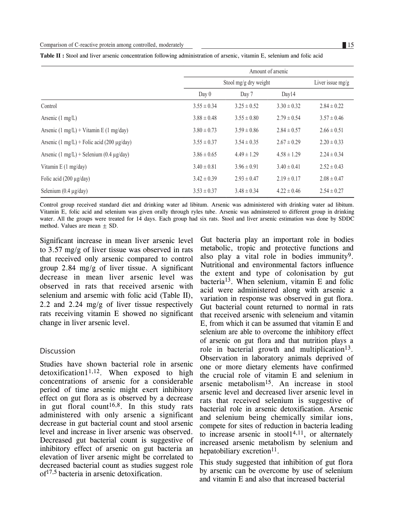**Table II :** Stool and liver arsenic concentration following administration of arsenic, vitamin E, selenium and folic acid

|                                                              |                       | Amount of arsenic |                    |                 |  |
|--------------------------------------------------------------|-----------------------|-------------------|--------------------|-----------------|--|
|                                                              | Stool mg/g dry weight |                   | Liver issue $mg/g$ |                 |  |
|                                                              | Day 0                 | Day 7             | Day14              |                 |  |
| Control                                                      | $3.55 \pm 0.34$       | $3.25 \pm 0.52$   | $3.30 \pm 0.32$    | $2.84 \pm 0.22$ |  |
| Arsenic $(1 \text{ mg/L})$                                   | $3.88 \pm 0.48$       | $3.55 \pm 0.80$   | $2.79 \pm 0.54$    | $3.57 \pm 0.46$ |  |
| Arsenic $(1 \text{ mg/L})$ + Vitamin E $(1 \text{ mg/day})$  | $3.80 \pm 0.73$       | $3.59 \pm 0.86$   | $2.84 \pm 0.57$    | $2.66 \pm 0.51$ |  |
| Arsenic $(1 \text{ mg/L})$ + Folic acid (200 µg/day)         | $3.55 \pm 0.37$       | $3.54 \pm 0.35$   | $2.67 \pm 0.29$    | $2.20 \pm 0.33$ |  |
| Arsenic $(1 \text{ mg/L})$ + Selenium $(0.4 \text{ µg/day})$ | $3.86 \pm 0.65$       | $4.49 \pm 1.29$   | $4.58 \pm 1.29$    | $2.24 \pm 0.34$ |  |
| Vitamin E $(1 \text{ mg/day})$                               | $3.40 \pm 0.81$       | $3.96 \pm 0.91$   | $3.40 \pm 0.41$    | $2.52 \pm 0.43$ |  |
| Folic acid $(200 \mu g/day)$                                 | $3.42 \pm 0.39$       | $2.93 \pm 0.47$   | $2.19 \pm 0.17$    | $2.08 \pm 0.47$ |  |
| Selenium $(0.4 \mu g/day)$                                   | $3.53 \pm 0.37$       | $3.48 \pm 0.34$   | $4.22 \pm 0.46$    | $2.54 \pm 0.27$ |  |

Control group received standard diet and drinking water ad libitum. Arsenic was administered with drinking water ad libitum. Vitamin E, folic acid and selenium was given orally through ryles tube. Arsenic was adminstered to different group in drinking water. All the groups were treated for 14 days. Each group had six rats. Stool and liver arsenic estimation was done by SDDC method. Values are mean  $\pm$  SD.

Significant increase in mean liver arsenic level to 3.57 mg/g of liver tissue was observed in rats that received only arsenic compared to control group 2.84 mg/g of liver tissue. A significant decrease in mean liver arsenic level was observed in rats that received arsenic with selenium and arsemic with folic acid (Table II), 2.2 and 2.24 mg/g of liver tissue respectively rats receiving vitamin E showed no significant change in liver arsenic level.

#### Discussion

Studies have shown bacterial role in arsenic  $d$ etoxification $1^{1,12}$ . When exposed to high concentrations of arsenic for a considerable period of time arsenic might exert inhibitory effect on gut flora as is observed by a decrease in gut floral count<sup>16,8</sup>. In this study rats administered with only arsenic a significant decrease in gut bacterial count and stool arsenic level and increase in liver arsenic was observed. Decreased gut bacterial count is suggestive of inhibitory effect of arsenic on gut bacteria an elevation of liver arsenic might be correlated to decreased bacterial count as studies suggest role  $of<sup>17,5</sup>$  bacteria in arsenic detoxification.

Gut bacteria play an important role in bodies metabolic, tropic and protective functions and also play a vital role in bodies immunity<sup>9</sup>. Nutritional and environmental factors influence the extent and type of colonisation by gut bacteria13. When selenium, vitamin E and folic acid were administered along with arsenic a variation in response was observed in gut flora. Gut bacterial count returned to normal in rats that received arsenic with seleneium and vitamin E, from which it can be assumed that vitamin E and selenium are able to overcome the inhibitory effect of arsenic on gut flora and that nutrition plays a role in bacterial growth and multiplication<sup>13</sup>. Observation in laboratory animals deprived of one or more dietary elements have confirmed the crucial role of vitamin E and selenium in arsenic metabolism<sup>15</sup>. An increase in stool arsenic level and decreased liver arsenic level in rats that received selenium is suggestive of bacterial role in arsenic detoxification. Arsenic and selenium being chemically similar ions, compete for sites of reduction in bacteria leading to increase arsenic in stool $1^{4,11}$ , or alternately increased arsenic metabolism by selenium and hepatobiliary excretion<sup>11</sup>.

This study suggested that inhibition of gut flora by arsenic can be overcome by use of selenium and vitamin E and also that increased bacterial